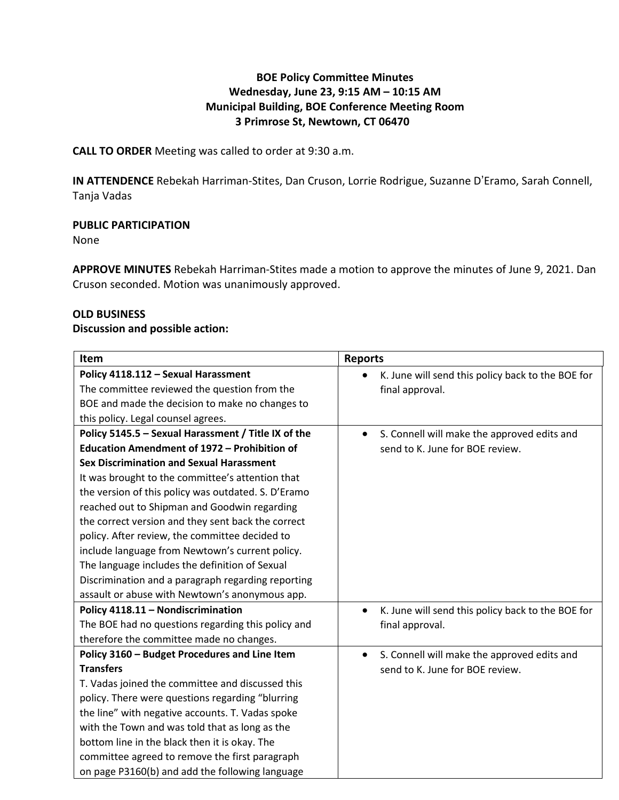# **BOE Policy Committee Minutes Wednesday, June 23, 9:15 AM – 10:15 AM Municipal Building, BOE Conference Meeting Room 3 Primrose St, Newtown, CT 06470**

**CALL TO ORDER** Meeting was called to order at 9:30 a.m.

**IN ATTENDENCE** Rebekah Harriman-Stites, Dan Cruson, Lorrie Rodrigue, Suzanne D'Eramo, Sarah Connell, Tanja Vadas

## **PUBLIC PARTICIPATION**

None

**APPROVE MINUTES** Rebekah Harriman-Stites made a motion to approve the minutes of June 9, 2021. Dan Cruson seconded. Motion was unanimously approved.

### **OLD BUSINESS**

### **Discussion and possible action:**

| Item                                                | <b>Reports</b>                                                 |
|-----------------------------------------------------|----------------------------------------------------------------|
| Policy 4118.112 - Sexual Harassment                 | K. June will send this policy back to the BOE for              |
| The committee reviewed the question from the        | final approval.                                                |
| BOE and made the decision to make no changes to     |                                                                |
| this policy. Legal counsel agrees.                  |                                                                |
| Policy 5145.5 - Sexual Harassment / Title IX of the | S. Connell will make the approved edits and<br>$\bullet$       |
| Education Amendment of 1972 - Prohibition of        | send to K. June for BOE review.                                |
| <b>Sex Discrimination and Sexual Harassment</b>     |                                                                |
| It was brought to the committee's attention that    |                                                                |
| the version of this policy was outdated. S. D'Eramo |                                                                |
| reached out to Shipman and Goodwin regarding        |                                                                |
| the correct version and they sent back the correct  |                                                                |
| policy. After review, the committee decided to      |                                                                |
| include language from Newtown's current policy.     |                                                                |
| The language includes the definition of Sexual      |                                                                |
| Discrimination and a paragraph regarding reporting  |                                                                |
| assault or abuse with Newtown's anonymous app.      |                                                                |
| Policy 4118.11 - Nondiscrimination                  | K. June will send this policy back to the BOE for<br>$\bullet$ |
| The BOE had no questions regarding this policy and  | final approval.                                                |
| therefore the committee made no changes.            |                                                                |
| Policy 3160 - Budget Procedures and Line Item       | S. Connell will make the approved edits and<br>$\bullet$       |
| <b>Transfers</b>                                    | send to K. June for BOE review.                                |
| T. Vadas joined the committee and discussed this    |                                                                |
| policy. There were questions regarding "blurring    |                                                                |
| the line" with negative accounts. T. Vadas spoke    |                                                                |
| with the Town and was told that as long as the      |                                                                |
| bottom line in the black then it is okay. The       |                                                                |
| committee agreed to remove the first paragraph      |                                                                |
| on page P3160(b) and add the following language     |                                                                |